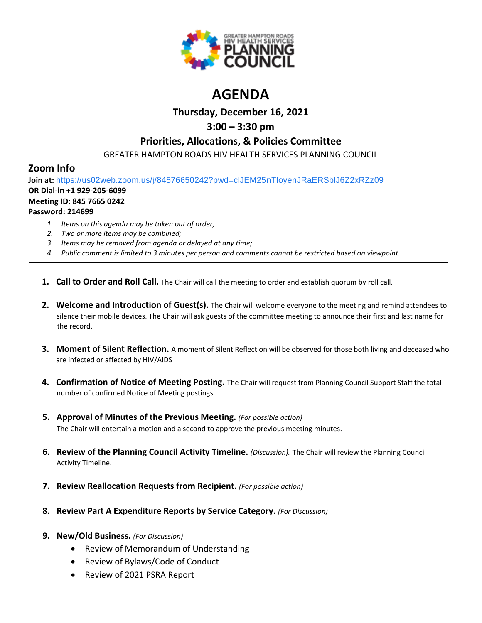

# **AGENDA**

# **Thursday, December 16, 2021**

# **3:00 – 3:30 pm**

## **Priorities, Allocations, & Policies Committee**

GREATER HAMPTON ROADS HIV HEALTH SERVICES PLANNING COUNCIL

# **Zoom Info**

**Join at:** [https://us02web.zoom.us/j/84576650242?pwd=clJEM25nTloyenJRaERSblJ6Z2xRZz09](https://www.google.com/url?q=https://us02web.zoom.us/j/84576650242?pwd%3DclJEM25nTloyenJRaERSblJ6Z2xRZz09&sa=D&source=calendar&ust=1616595038982000&usg=AOvVaw3sK6cNtpF8kGuryyzK0Ew9)

## **OR Dial-in +1 929-205-6099**

### **Meeting ID: 845 7665 0242**

## **Password: 214699**

- *1. Items on this agenda may be taken out of order;*
- *2. Two or more items may be combined;*
- *3. Items may be removed from agenda or delayed at any time;*
- *4. Public comment is limited to 3 minutes per person and comments cannot be restricted based on viewpoint.*
- **1. Call to Order and Roll Call.** The Chair will call the meeting to order and establish quorum by roll call.
- **2. Welcome and Introduction of Guest(s).** The Chair will welcome everyone to the meeting and remind attendees to silence their mobile devices. The Chair will ask guests of the committee meeting to announce their first and last name for the record.
- **3. Moment of Silent Reflection.** A moment of Silent Reflection will be observed for those both living and deceased who are infected or affected by HIV/AIDS
- **4. Confirmation of Notice of Meeting Posting.** The Chair will request from Planning Council Support Staff the total number of confirmed Notice of Meeting postings.
- **5. Approval of Minutes of the Previous Meeting.** *(For possible action)* The Chair will entertain a motion and a second to approve the previous meeting minutes.
- **6. Review of the Planning Council Activity Timeline.** *(Discussion).* The Chair will review the Planning Council Activity Timeline.
- **7. Review Reallocation Requests from Recipient.** *(For possible action)*
- **8. Review Part A Expenditure Reports by Service Category.** *(For Discussion)*
- **9. New/Old Business.** *(For Discussion)*
	- Review of Memorandum of Understanding
	- Review of Bylaws/Code of Conduct
	- Review of 2021 PSRA Report